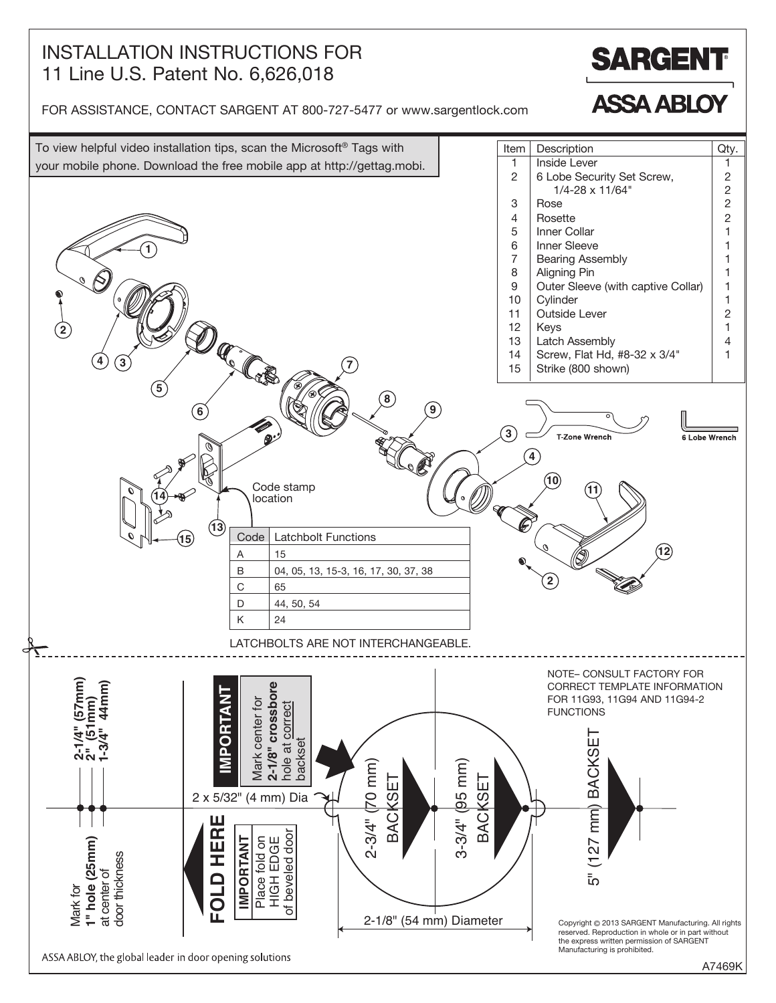## INSTALLATION INSTRUCTIONS FOR 11 Line U.S. Patent No. 6,626,018



**ASSA ABLOY** 

FOR ASSISTANCE, CONTACT SARGENT AT 800-727-5477 or www.sargentlock.com



A7469K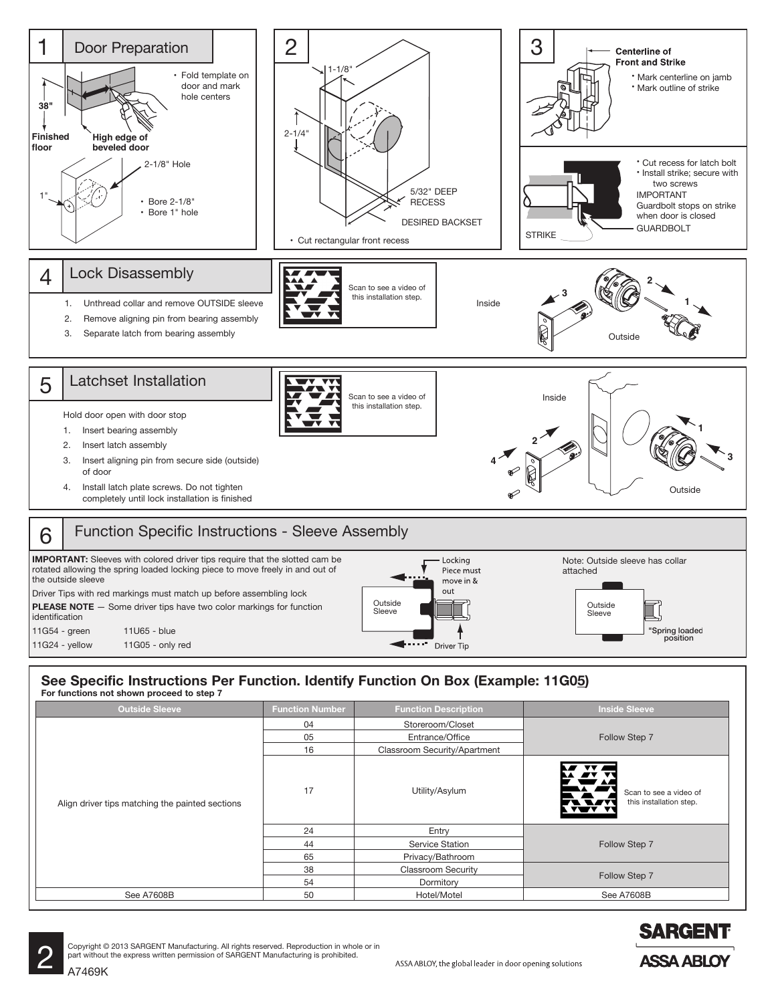

#### **See Specific Instructions Per Function. Identify Function On Box (Example: 11G05)** For functions not shown proceed to step 7 ep 7 and 2007 and 2008 and 2008 and 2008 and 2008 and 2008 and 2008 and 2008 and 2008 and 2008 and 2008 and 20<br>Extending the Contract of the Contract of the Contract of the Contract of the Contract of the Contract of the

| <b>Outside Sleeve</b>                           | <b>Function Number</b> | <b>Function Description</b>  | <b>Inside Sleeve</b>                                                             |  |
|-------------------------------------------------|------------------------|------------------------------|----------------------------------------------------------------------------------|--|
| Align driver tips matching the painted sections | 04                     | Storeroom/Closet             | Follow Step 7                                                                    |  |
|                                                 | 05                     | Entrance/Office              |                                                                                  |  |
|                                                 | 16                     | Classroom Security/Apartment |                                                                                  |  |
|                                                 | 17                     | Utility/Asylum               | <b>AV</b><br>Scan to see a video of<br><b>TARY RI</b><br>this installation step. |  |
|                                                 | 24                     | Entry                        | Follow Step 7                                                                    |  |
|                                                 | 44                     | Service Station              |                                                                                  |  |
|                                                 | 65                     | Privacy/Bathroom             |                                                                                  |  |
|                                                 | 38                     | <b>Classroom Security</b>    | Follow Step 7                                                                    |  |
|                                                 | 54                     | Dormitory                    |                                                                                  |  |
| See A7608B                                      | 50                     | Hotel/Motel                  | See A7608B                                                                       |  |



Copyright © 2013 SARGENT Manufacturing. All rights reserved. Reproduction in whole or in part without the express written permission of SARGENT Manufacturing is prohibited.<br>A7469K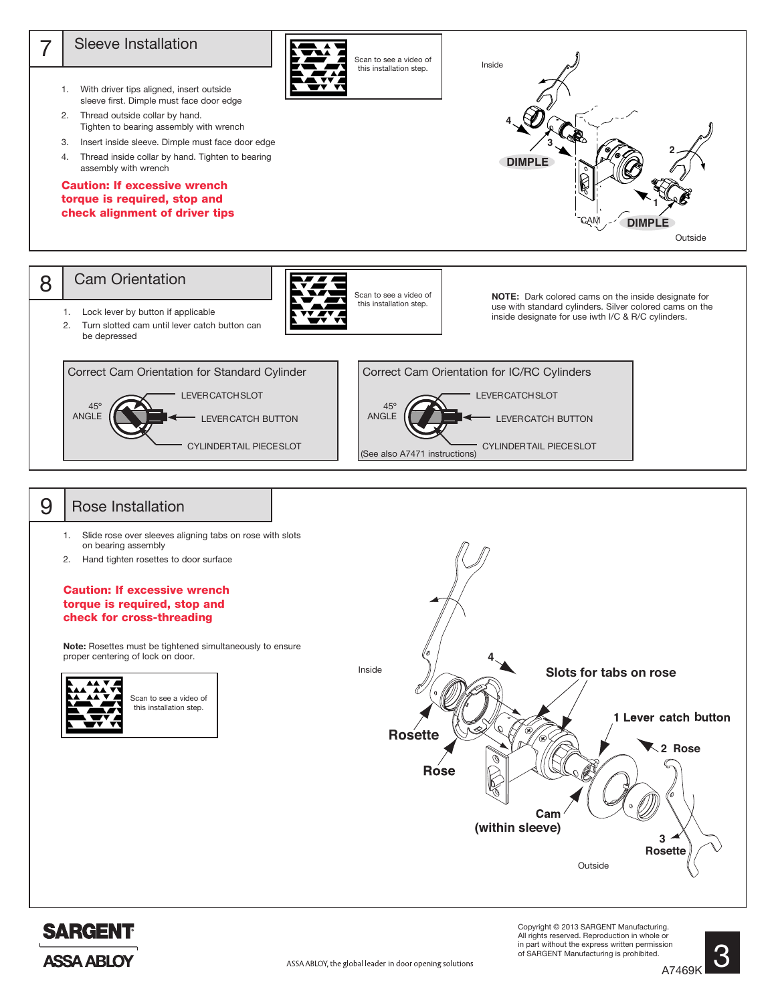

Outside

Copyright © 2013 SARGENT Manufacturing. All rights reserved. Reproduction in whole or in part without the express written permission of SARGENT Manufacturing is prohibited.

**SARGENT** 

**ASSA ABLOY** 

<u>ვ</u>